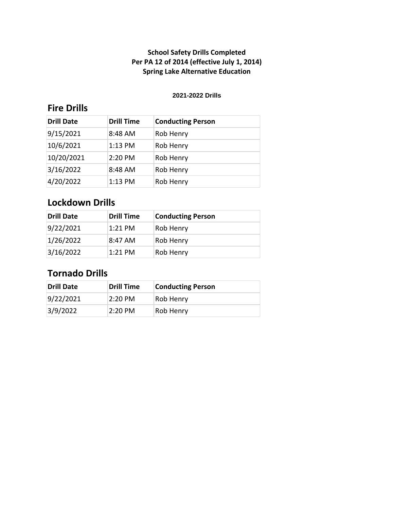#### **2021-2022 Drills**

# **Fire Drills**

| <b>Drill Date</b> | <b>Drill Time</b> | <b>Conducting Person</b> |
|-------------------|-------------------|--------------------------|
| 9/15/2021         | 8:48 AM           | Rob Henry                |
| 10/6/2021         | 1:13 PM           | Rob Henry                |
| 10/20/2021        | 2:20 PM           | Rob Henry                |
| 3/16/2022         | 8:48 AM           | Rob Henry                |
| 4/20/2022         | 1:13 PM           | Rob Henry                |

## **Lockdown Drills**

| <b>Drill Date</b> | <b>Drill Time</b> | <b>Conducting Person</b> |
|-------------------|-------------------|--------------------------|
| 9/22/2021         | $1:21$ PM         | <b>Rob Henry</b>         |
| 1/26/2022         | 8:47 AM           | <b>Rob Henry</b>         |
| 3/16/2022         | $1:21$ PM         | <b>Rob Henry</b>         |

# **Tornado Drills**

| Drill Date | <b>Drill Time</b> | <b>Conducting Person</b> |
|------------|-------------------|--------------------------|
| 9/22/2021  | $2:20 \text{ PM}$ | <b>Rob Henry</b>         |
| 3/9/2022   | 2:20 PM           | <b>Rob Henry</b>         |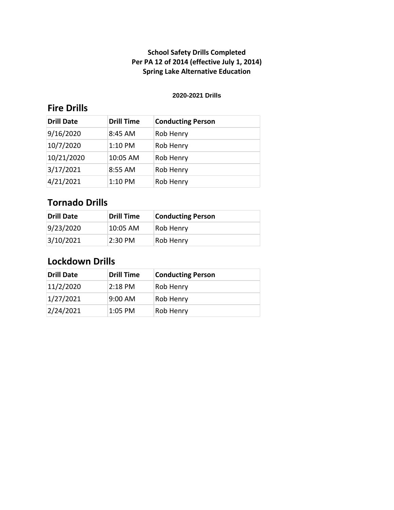#### **2020-2021 Drills**

# **Fire Drills**

| <b>Drill Date</b> | <b>Drill Time</b> | <b>Conducting Person</b> |
|-------------------|-------------------|--------------------------|
| 9/16/2020         | 8:45 AM           | Rob Henry                |
| 10/7/2020         | $1:10$ PM         | Rob Henry                |
| 10/21/2020        | 10:05 AM          | Rob Henry                |
| 3/17/2021         | 8:55 AM           | Rob Henry                |
| 4/21/2021         | 1:10 PM           | Rob Henry                |

# **Tornado Drills**

| Drill Date | Drill Time | <b>Conducting Person</b> |
|------------|------------|--------------------------|
| 9/23/2020  | $10:05$ AM | <b>Rob Henry</b>         |
| 3/10/2021  | 2:30 PM    | <b>Rob Henry</b>         |

| <b>Drill Date</b> | <b>Drill Time</b> | <b>Conducting Person</b> |
|-------------------|-------------------|--------------------------|
| 11/2/2020         | 2:18 PM           | <b>Rob Henry</b>         |
| 1/27/2021         | 9:00 AM           | <b>Rob Henry</b>         |
| 2/24/2021         | $1:05$ PM         | <b>Rob Henry</b>         |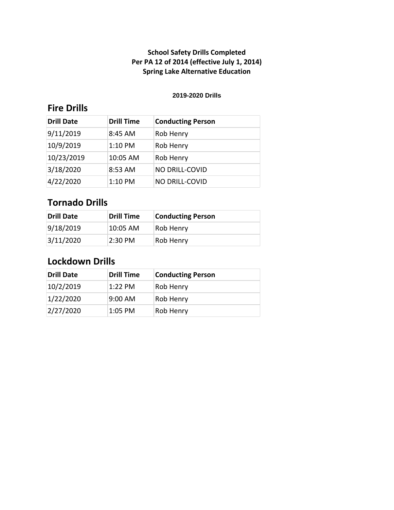#### **2019-2020 Drills**

# **Fire Drills**

| <b>Drill Date</b> | <b>Drill Time</b> | <b>Conducting Person</b> |
|-------------------|-------------------|--------------------------|
| 9/11/2019         | 8:45 AM           | Rob Henry                |
| 10/9/2019         | $1:10$ PM         | Rob Henry                |
| 10/23/2019        | 10:05 AM          | Rob Henry                |
| 3/18/2020         | 8:53 AM           | NO DRILL-COVID           |
| 4/22/2020         | $1:10$ PM         | NO DRILL-COVID           |

# **Tornado Drills**

| Drill Date | Drill Time | <b>Conducting Person</b> |
|------------|------------|--------------------------|
| 9/18/2019  | $10:05$ AM | <b>Rob Henry</b>         |
| 3/11/2020  | 2:30 PM    | <b>Rob Henry</b>         |

| <b>Drill Date</b> | <b>Drill Time</b> | <b>Conducting Person</b> |
|-------------------|-------------------|--------------------------|
| 10/2/2019         | $1:22$ PM         | <b>Rob Henry</b>         |
| 1/22/2020         | 9:00 AM           | <b>Rob Henry</b>         |
| 2/27/2020         | $1:05$ PM         | <b>Rob Henry</b>         |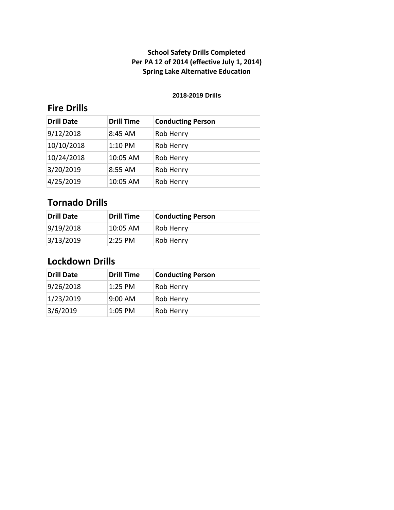#### **2018-2019 Drills**

# **Fire Drills**

| <b>Drill Date</b> | <b>Drill Time</b> | <b>Conducting Person</b> |
|-------------------|-------------------|--------------------------|
| 9/12/2018         | 8:45 AM           | Rob Henry                |
| 10/10/2018        | $1:10$ PM         | Rob Henry                |
| 10/24/2018        | 10:05 AM          | Rob Henry                |
| 3/20/2019         | 8:55 AM           | Rob Henry                |
| 4/25/2019         | 10:05 AM          | Rob Henry                |

# **Tornado Drills**

| Drill Date | Drill Time | <b>Conducting Person</b> |
|------------|------------|--------------------------|
| 9/19/2018  | $10:05$ AM | <b>Rob Henry</b>         |
| 3/13/2019  | 2:25 PM    | <b>Rob Henry</b>         |

| <b>Drill Date</b> | <b>Drill Time</b> | <b>Conducting Person</b> |
|-------------------|-------------------|--------------------------|
| 9/26/2018         | $1:25$ PM         | <b>Rob Henry</b>         |
| 1/23/2019         | 9:00 AM           | <b>Rob Henry</b>         |
| 3/6/2019          | $1:05$ PM         | <b>Rob Henry</b>         |